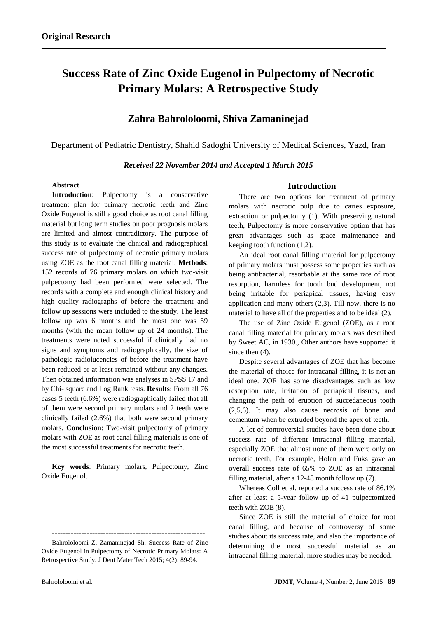# **Success Rate of Zinc Oxide Eugenol in Pulpectomy of Necrotic Primary Molars: A Retrospective Study**

# **Zahra Bahrololoomi, Shiva Zamaninejad**

Department of Pediatric Dentistry, Shahid Sadoghi University of Medical Sciences, Yazd, Iran

# *Received 22 November 2014 and Accepted 1 March 2015*

#### **Abstract**

**Introduction:** Pulpectomy is a conservative treatment plan for primary necrotic teeth and Zinc Oxide Eugenol is still a good choice as root canal filling material but long term studies on poor prognosis molars are limited and almost contradictory. The purpose of this study is to evaluate the clinical and radiographical success rate of pulpectomy of necrotic primary molars using ZOE as the root canal filling material. **Methods**: 152 records of 76 primary molars on which two-visit pulpectomy had been performed were selected. The records with a complete and enough clinical history and high quality radiographs of before the treatment and follow up sessions were included to the study. The least follow up was 6 months and the most one was 59 months (with the mean follow up of 24 months). The treatments were noted successful if clinically had no signs and symptoms and radiographically, the size of pathologic radiolucencies of before the treatment have been reduced or at least remained without any changes. Then obtained information was analyses in SPSS 17 and by Chi- square and Log Rank tests. **Results**: From all 76 cases 5 teeth (6.6%) were radiographically failed that all of them were second primary molars and 2 teeth were clinically failed (2.6%) that both were second primary molars. **Conclusion**: Two-visit pulpectomy of primary molars with ZOE as root canal filling materials is one of the most successful treatments for necrotic teeth.

**Key words**: Primary molars, Pulpectomy, Zinc Oxide Eugenol.

**---------------------------------------------------------**

## **Introduction**

There are two options for treatment of primary molars with necrotic pulp due to caries exposure, extraction or pulpectomy (1). With preserving natural teeth, Pulpectomy is more conservative option that has great advantages such as space maintenance and keeping tooth function (1,2).

An ideal root canal filling material for pulpectomy of primary molars must possess some properties such as being antibacterial, resorbable at the same rate of root resorption, harmless for tooth bud development, not being irritable for periapical tissues, having easy application and many others (2,3). Till now, there is no material to have all of the properties and to be ideal (2).

The use of Zinc Oxide Eugenol (ZOE), as a root canal filling material for primary molars was described by Sweet AC, in 1930., Other authors have supported it since then  $(4)$ .

Despite several advantages of ZOE that has become the material of choice for intracanal filling, it is not an ideal one. ZOE has some disadvantages such as low resorption rate, irritation of periapical tissues, and changing the path of eruption of succedaneous tooth (2,5,6). It may also cause necrosis of bone and cementum when be extruded beyond the apex of teeth.

A lot of controversial studies have been done about success rate of different intracanal filling material, especially ZOE that almost none of them were only on necrotic teeth, For example, Holan and Fuks gave an overall success rate of 65% to ZOE as an intracanal filling material, after a 12-48 month follow up (7).

Whereas Coll et al. reported a success rate of 86.1% after at least a 5-year follow up of 41 pulpectomized teeth with ZOE (8).

Since ZOE is still the material of choice for root canal filling, and because of controversy of some studies about its success rate, and also the importance of determining the most successful material as an intracanal filling material, more studies may be needed.

Bahrololoomi Z, Zamaninejad Sh. Success Rate of Zinc Oxide Eugenol in Pulpectomy of Necrotic Primary Molars: A Retrospective Study. J Dent Mater Tech 2015; 4(2): 89-94.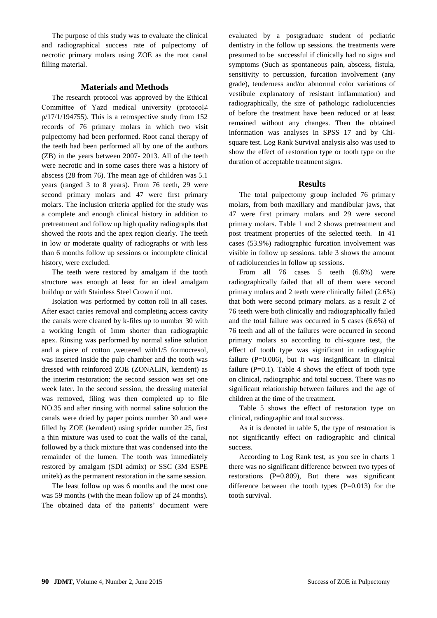The purpose of this study was to evaluate the clinical and radiographical success rate of pulpectomy of necrotic primary molars using ZOE as the root canal filling material.

# **Materials and Methods**

The research protocol was approved by the Ethical Committee of Yazd medical university (protocol≠  $p/17/1/194755$ ). This is a retrospective study from 152 records of 76 primary molars in which two visit pulpectomy had been performed. Root canal therapy of the teeth had been performed all by one of the authors (ZB) in the years between 2007- 2013. All of the teeth were necrotic and in some cases there was a history of abscess (28 from 76). The mean age of children was 5.1 years (ranged 3 to 8 years). From 76 teeth, 29 were second primary molars and 47 were first primary molars. The inclusion criteria applied for the study was a complete and enough clinical history in addition to pretreatment and follow up high quality radiographs that showed the roots and the apex region clearly. The teeth in low or moderate quality of radiographs or with less than 6 months follow up sessions or incomplete clinical history, were excluded.

The teeth were restored by amalgam if the tooth structure was enough at least for an ideal amalgam buildup or with Stainless Steel Crown if not.

Isolation was performed by cotton roll in all cases. After exact caries removal and completing access cavity the canals were cleaned by k-files up to number 30 with a working length of 1mm shorter than radiographic apex. Rinsing was performed by normal saline solution and a piece of cotton ,wettered with1/5 formocresol, was inserted inside the pulp chamber and the tooth was dressed with reinforced ZOE (ZONALIN, kemdent) as the interim restoration; the second session was set one week later. In the second session, the dressing material was removed, filing was then completed up to file NO.35 and after rinsing with normal saline solution the canals were dried by paper points number 30 and were filled by ZOE (kemdent) using sprider number 25, first a thin mixture was used to coat the walls of the canal, followed by a thick mixture that was condensed into the remainder of the lumen. The tooth was immediately restored by amalgam (SDI admix) or SSC (3M ESPE unitek) as the permanent restoration in the same session.

The least follow up was 6 months and the most one was 59 months (with the mean follow up of 24 months). The obtained data of the patients' document were

evaluated by a postgraduate student of pediatric dentistry in the follow up sessions. the treatments were presumed to be successful if clinically had no signs and symptoms (Such as spontaneous pain, abscess, fistula, sensitivity to percussion, furcation involvement (any grade), tenderness and/or abnormal color variations of vestibule explanatory of resistant inflammation) and radiographically, the size of pathologic radiolucencies of before the treatment have been reduced or at least remained without any changes. Then the obtained information was analyses in SPSS 17 and by Chisquare test. Log Rank Survival analysis also was used to show the effect of restoration type or tooth type on the duration of acceptable treatment signs.

#### **Results**

The total pulpectomy group included 76 primary molars, from both maxillary and mandibular jaws, that 47 were first primary molars and 29 were second primary molars. Table 1 and 2 shows pretreatment and post treatment properties of the selected teeth. In 41 cases (53.9%) radiographic furcation involvement was visible in follow up sessions. table 3 shows the amount of radiolucencies in follow up sessions.

From all 76 cases 5 teeth (6.6%) were radiographically failed that all of them were second primary molars and 2 teeth were clinically failed (2.6%) that both were second primary molars. as a result 2 of 76 teeth were both clinically and radiographically failed and the total failure was occurred in 5 cases (6.6%) of 76 teeth and all of the failures were occurred in second primary molars so according to chi-square test, the effect of tooth type was significant in radiographic failure  $(P=0.006)$ , but it was insignificant in clinical failure  $(P=0.1)$ . Table 4 shows the effect of tooth type on clinical, radiographic and total success. There was no significant relationship between failures and the age of children at the time of the treatment.

Table 5 shows the effect of restoration type on clinical, radiographic and total success.

As it is denoted in table 5, the type of restoration is not significantly effect on radiographic and clinical success.

According to Log Rank test, as you see in charts 1 there was no significant difference between two types of restorations (P=0.809), But there was significant difference between the tooth types  $(P=0.013)$  for the tooth survival.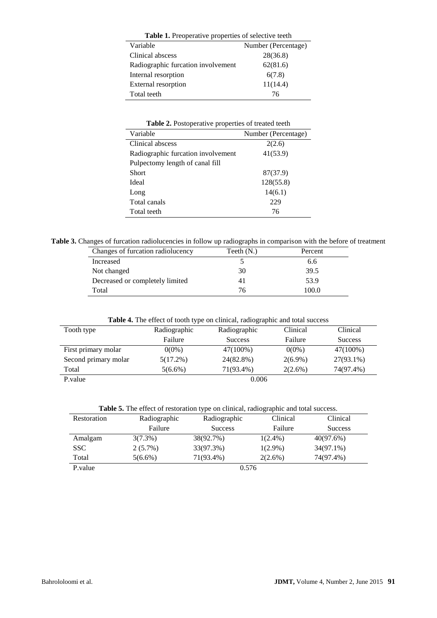| Table 1. Preoperative properties of selective teeth |                     |  |  |
|-----------------------------------------------------|---------------------|--|--|
| Variable                                            | Number (Percentage) |  |  |
| Clinical abscess                                    | 28(36.8)            |  |  |
| Radiographic furcation involvement                  | 62(81.6)            |  |  |
| Internal resorption                                 | 6(7.8)              |  |  |
| External resorption                                 | 11(14.4)            |  |  |
| Total teeth                                         | 76                  |  |  |

| Table 2. Postoperative properties of treated teeth |  |
|----------------------------------------------------|--|
|----------------------------------------------------|--|

| Variable                           | Number (Percentage) |
|------------------------------------|---------------------|
| Clinical abscess                   | 2(2.6)              |
| Radiographic furcation involvement | 41(53.9)            |
| Pulpectomy length of canal fill    |                     |
| Short                              | 87(37.9)            |
| Ideal                              | 128(55.8)           |
| Long                               | 14(6.1)             |
| Total canals                       | 229                 |
| Total teeth                        | 76                  |

**Table 3.** Changes of furcation radiolucencies in follow up radiographs in comparison with the before of treatment

| Changes of furcation radiolucency | Teeth $(N.)$ | Percent |
|-----------------------------------|--------------|---------|
| Increased                         |              | 6.6     |
| Not changed                       | 30           | 39.5    |
| Decreased or completely limited   |              | 53.9    |
| Total                             | 76           | 100.0   |

**Table 4.** The effect of tooth type on clinical, radiographic and total success

| Tooth type           | Radiographic | Radiographic   | Clinical   | Clinical       |
|----------------------|--------------|----------------|------------|----------------|
|                      | Failure      | <b>Success</b> | Failure    | <b>Success</b> |
| First primary molar  | $0(0\%)$     | 47(100%)       | $0(0\%)$   | 47(100%)       |
| Second primary molar | $5(17.2\%)$  | 24(82.8%)      | $2(6.9\%)$ | 27(93.1%)      |
| Total                | $5(6.6\%)$   | 71(93.4%)      | $2(2.6\%)$ | 74(97.4%)      |
| P.value              |              | 0.006          |            |                |

|  |  | Table 5. The effect of restoration type on clinical, radiographic and total success. |
|--|--|--------------------------------------------------------------------------------------|
|--|--|--------------------------------------------------------------------------------------|

| Restoration | Radiographic | Radiographic   | Clinical   | Clinical       |
|-------------|--------------|----------------|------------|----------------|
|             | Failure      | <b>Success</b> | Failure    | <b>Success</b> |
| Amalgam     | $3(7.3\%)$   | 38(92.7%)      | $1(2.4\%)$ | 40(97.6%)      |
| <b>SSC</b>  | $2(5.7\%)$   | 33(97.3%)      | $1(2.9\%)$ | 34(97.1%)      |
| Total       | $5(6.6\%)$   | 71(93.4%)      | $2(2.6\%)$ | 74(97.4%)      |
| P.value     | 0.576        |                |            |                |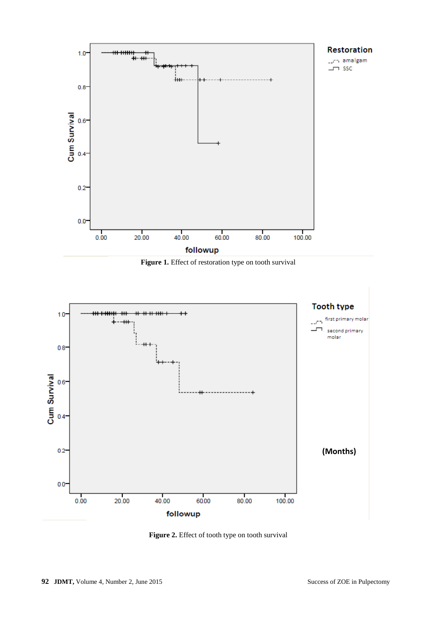

Figure 1. Effect of restoration type on tooth survival



**Figure 2.** Effect of tooth type on tooth survival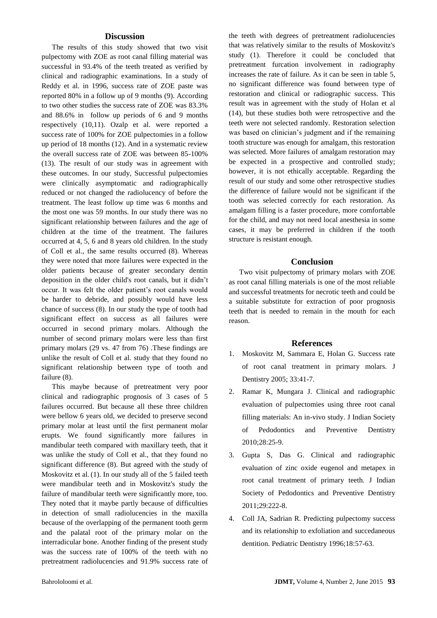### **Discussion**

The results of this study showed that two visit pulpectomy with ZOE as root canal filling material was successful in 93.4% of the teeth treated as verified by clinical and radiographic examinations. In a study of Reddy et al. in 1996, success rate of ZOE paste was reported 80% in a follow up of 9 months (9). According to two other studies the success rate of ZOE was 83.3% and 88.6% in follow up periods of 6 and 9 months respectively (10,11). Ozalp et al. were reported a success rate of 100% for ZOE pulpectomies in a follow up period of 18 months (12). And in a systematic review the overall success rate of ZOE was between 85-100% (13). The result of our study was in agreement with these outcomes. In our study, Successful pulpectomies were clinically asymptomatic and radiographically reduced or not changed the radiolucency of before the treatment. The least follow up time was 6 months and the most one was 59 months. In our study there was no significant relationship between failures and the age of children at the time of the treatment. The failures occurred at 4, 5, 6 and 8 years old children. In the study of Coll et al., the same results occurred (8). Whereas they were noted that more failures were expected in the older patients because of greater secondary dentin deposition in the older child's root canals, but it didn't occur. It was felt the older patient's root canals would be harder to debride, and possibly would have less chance of success (8). In our study the type of tooth had significant effect on success as all failures were occurred in second primary molars. Although the number of second primary molars were less than first primary molars (29 vs. 47 from 76) .These findings are unlike the result of Coll et al. study that they found no significant relationship between type of tooth and failure  $(8)$ .

This maybe because of pretreatment very poor clinical and radiographic prognosis of 3 cases of 5 failures occurred. But because all these three children were bellow 6 years old, we decided to preserve second primary molar at least until the first permanent molar erupts. We found significantly more failures in mandibular teeth compared with maxillary teeth, that it was unlike the study of Coll et al., that they found no significant difference (8). But agreed with the study of Moskovitz et al. (1). In our study all of the 5 failed teeth were mandibular teeth and in Moskovitz's study the failure of mandibular teeth were significantly more, too. They noted that it maybe partly because of difficulties in detection of small radiolucencies in the maxilla because of the overlapping of the permanent tooth germ and the palatal root of the primary molar on the interradicular bone. Another finding of the present study was the success rate of 100% of the teeth with no pretreatment radiolucencies and 91.9% success rate of the teeth with degrees of pretreatment radiolucencies that was relatively similar to the results of Moskovitz's study (1). Therefore it could be concluded that pretreatment furcation involvement in radiography increases the rate of failure. As it can be seen in table 5, no significant difference was found between type of restoration and clinical or radiographic success. This result was in agreement with the study of Holan et al (14), but these studies both were retrospective and the teeth were not selected randomly. Restoration selection was based on clinician's judgment and if the remaining tooth structure was enough for amalgam, this restoration was selected. More failures of amalgam restoration may be expected in a prospective and controlled study; however, it is not ethically acceptable. Regarding the result of our study and some other retrospective studies the difference of failure would not be significant if the tooth was selected correctly for each restoration. As amalgam filling is a faster procedure, more comfortable for the child, and may not need local anesthesia in some cases, it may be preferred in children if the tooth structure is resistant enough.

#### **Conclusion**

Two visit pulpectomy of primary molars with ZOE as root canal filling materials is one of the most reliable and successful treatments for necrotic teeth and could be a suitable substitute for extraction of poor prognosis teeth that is needed to remain in the mouth for each reason.

#### **References**

- 1. Moskovitz M, Sammara E, Holan G. Success rate of root canal treatment in primary molars. J Dentistry 2005; 33:41-7.
- 2. [Ramar](http://www.jisppd.com/searchresult.asp?search=&author=K+Ramar&journal=Y&but_search=Search&entries=10&pg=1&s=0) K, [Mungara](http://www.jisppd.com/searchresult.asp?search=&author=J+Mungara&journal=Y&but_search=Search&entries=10&pg=1&s=0) J. Clinical and radiographic evaluation of pulpectomies using three root canal filling materials: An in-vivo study. J Indian Society of Pedodontics and Preventive Dentistry 2010;28:25-9.
- 3. [Gupta](http://jisppd.com/searchresult.asp?search=&author=S+Gupta&journal=Y&but_search=Search&entries=10&pg=1&s=0) S, [Das](http://jisppd.com/searchresult.asp?search=&author=G+Das&journal=Y&but_search=Search&entries=10&pg=1&s=0) G. Clinical and radiographic evaluation of zinc oxide eugenol and metapex in root canal treatment of primary teeth. J Indian Society of Pedodontics and Preventive Dentistry 2011;29:222-8.
- 4. Coll JA, Sadrian R. Predicting pulpectomy success and its relationship to exfoliation and succedaneous dentition. Pediatric Dentistry 1996;18:57-63.